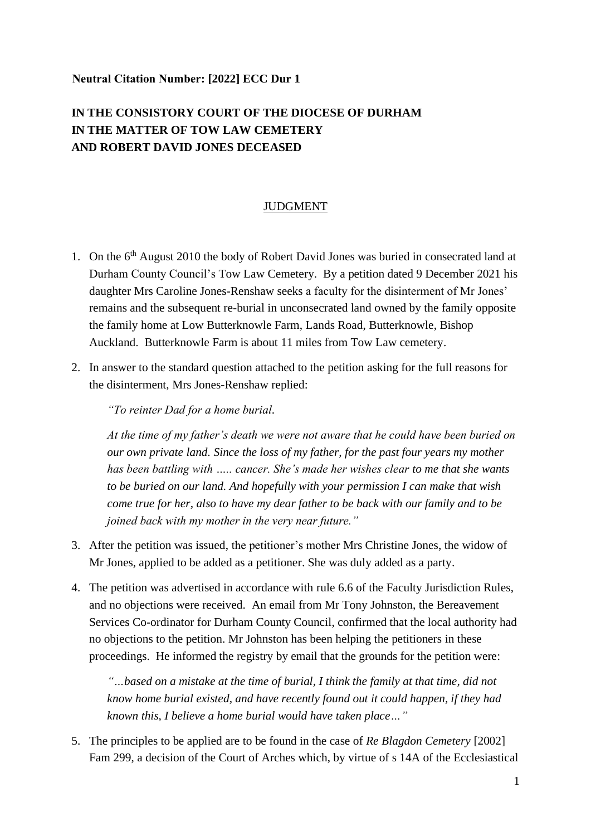## **Neutral Citation Number: [2022] ECC Dur 1**

## **IN THE CONSISTORY COURT OF THE DIOCESE OF DURHAM IN THE MATTER OF TOW LAW CEMETERY AND ROBERT DAVID JONES DECEASED**

## JUDGMENT

- 1. On the 6<sup>th</sup> August 2010 the body of Robert David Jones was buried in consecrated land at Durham County Council's Tow Law Cemetery. By a petition dated 9 December 2021 his daughter Mrs Caroline Jones-Renshaw seeks a faculty for the disinterment of Mr Jones' remains and the subsequent re-burial in unconsecrated land owned by the family opposite the family home at Low Butterknowle Farm, Lands Road, Butterknowle, Bishop Auckland. Butterknowle Farm is about 11 miles from Tow Law cemetery.
- 2. In answer to the standard question attached to the petition asking for the full reasons for the disinterment, Mrs Jones-Renshaw replied:

*"To reinter Dad for a home burial.* 

*At the time of my father's death we were not aware that he could have been buried on our own private land. Since the loss of my father, for the past four years my mother has been battling with ….. cancer. She's made her wishes clear to me that she wants to be buried on our land. And hopefully with your permission I can make that wish come true for her, also to have my dear father to be back with our family and to be joined back with my mother in the very near future."*

- 3. After the petition was issued, the petitioner's mother Mrs Christine Jones, the widow of Mr Jones, applied to be added as a petitioner. She was duly added as a party.
- 4. The petition was advertised in accordance with rule 6.6 of the Faculty Jurisdiction Rules, and no objections were received. An email from Mr Tony Johnston, the Bereavement Services Co-ordinator for Durham County Council, confirmed that the local authority had no objections to the petition. Mr Johnston has been helping the petitioners in these proceedings. He informed the registry by email that the grounds for the petition were:

*"…based on a mistake at the time of burial, I think the family at that time, did not know home burial existed, and have recently found out it could happen, if they had known this, I believe a home burial would have taken place…"*

5. The principles to be applied are to be found in the case of *Re Blagdon Cemetery* [2002] Fam 299, a decision of the Court of Arches which, by virtue of s 14A of the Ecclesiastical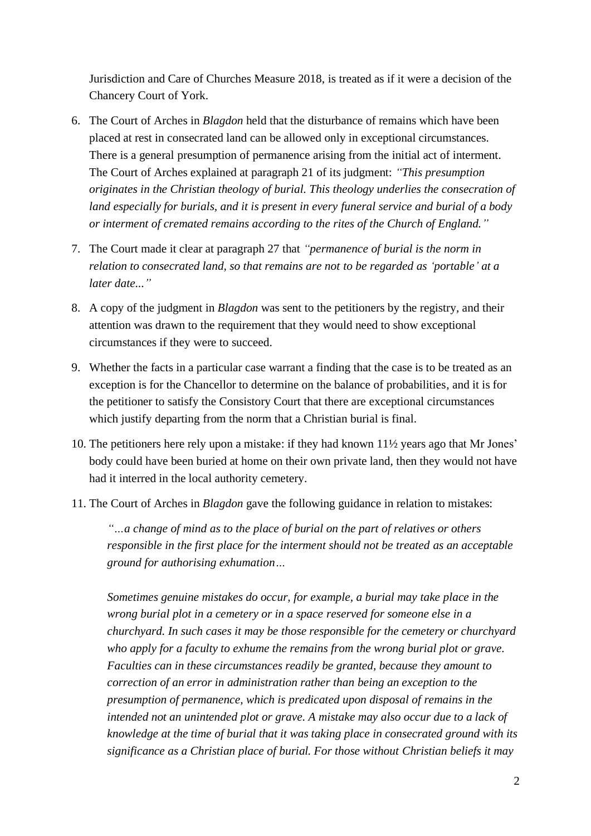Jurisdiction and Care of Churches Measure 2018, is treated as if it were a decision of the Chancery Court of York.

- 6. The Court of Arches in *Blagdon* held that the disturbance of remains which have been placed at rest in consecrated land can be allowed only in exceptional circumstances. There is a general presumption of permanence arising from the initial act of interment. The Court of Arches explained at paragraph 21 of its judgment: *"This presumption originates in the Christian theology of burial. This theology underlies the consecration of land especially for burials, and it is present in every funeral service and burial of a body or interment of cremated remains according to the rites of the Church of England."*
- 7. The Court made it clear at paragraph 27 that *"permanence of burial is the norm in relation to consecrated land, so that remains are not to be regarded as 'portable' at a later date..."*
- 8. A copy of the judgment in *Blagdon* was sent to the petitioners by the registry, and their attention was drawn to the requirement that they would need to show exceptional circumstances if they were to succeed.
- 9. Whether the facts in a particular case warrant a finding that the case is to be treated as an exception is for the Chancellor to determine on the balance of probabilities, and it is for the petitioner to satisfy the Consistory Court that there are exceptional circumstances which justify departing from the norm that a Christian burial is final.
- 10. The petitioners here rely upon a mistake: if they had known 11½ years ago that Mr Jones' body could have been buried at home on their own private land, then they would not have had it interred in the local authority cemetery.
- 11. The Court of Arches in *Blagdon* gave the following guidance in relation to mistakes:

*"…a change of mind as to the place of burial on the part of relatives or others responsible in the first place for the interment should not be treated as an acceptable ground for authorising exhumation…*

*Sometimes genuine mistakes do occur, for example, a burial may take place in the wrong burial plot in a cemetery or in a space reserved for someone else in a churchyard. In such cases it may be those responsible for the cemetery or churchyard who apply for a faculty to exhume the remains from the wrong burial plot or grave. Faculties can in these circumstances readily be granted, because they amount to correction of an error in administration rather than being an exception to the presumption of permanence, which is predicated upon disposal of remains in the intended not an unintended plot or grave. A mistake may also occur due to a lack of knowledge at the time of burial that it was taking place in consecrated ground with its significance as a Christian place of burial. For those without Christian beliefs it may*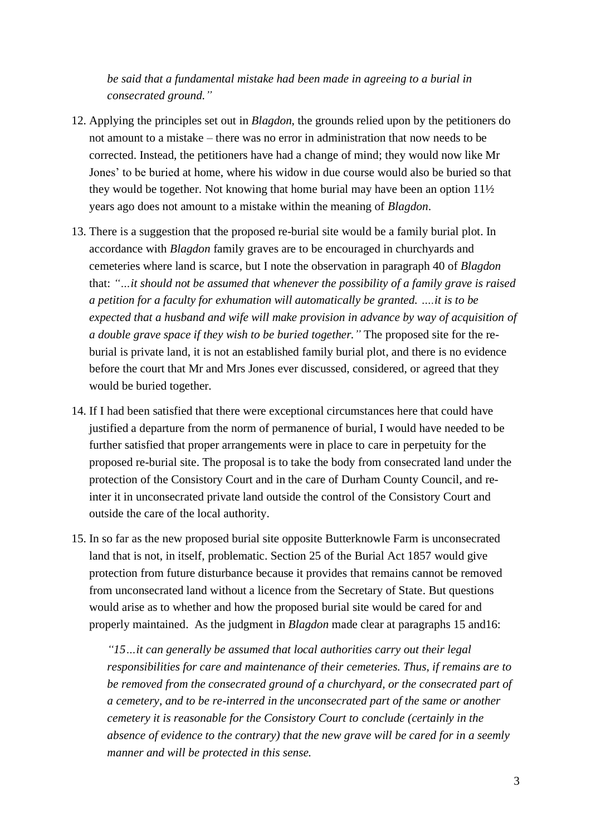*be said that a fundamental mistake had been made in agreeing to a burial in consecrated ground."*

- 12. Applying the principles set out in *Blagdon*, the grounds relied upon by the petitioners do not amount to a mistake – there was no error in administration that now needs to be corrected. Instead, the petitioners have had a change of mind; they would now like Mr Jones' to be buried at home, where his widow in due course would also be buried so that they would be together. Not knowing that home burial may have been an option 11½ years ago does not amount to a mistake within the meaning of *Blagdon*.
- 13. There is a suggestion that the proposed re-burial site would be a family burial plot. In accordance with *Blagdon* family graves are to be encouraged in churchyards and cemeteries where land is scarce, but I note the observation in paragraph 40 of *Blagdon* that: *"…it should not be assumed that whenever the possibility of a family grave is raised a petition for a faculty for exhumation will automatically be granted. ….it is to be expected that a husband and wife will make provision in advance by way of acquisition of a double grave space if they wish to be buried together."* The proposed site for the reburial is private land, it is not an established family burial plot, and there is no evidence before the court that Mr and Mrs Jones ever discussed, considered, or agreed that they would be buried together.
- 14. If I had been satisfied that there were exceptional circumstances here that could have justified a departure from the norm of permanence of burial, I would have needed to be further satisfied that proper arrangements were in place to care in perpetuity for the proposed re-burial site. The proposal is to take the body from consecrated land under the protection of the Consistory Court and in the care of Durham County Council, and reinter it in unconsecrated private land outside the control of the Consistory Court and outside the care of the local authority.
- 15. In so far as the new proposed burial site opposite Butterknowle Farm is unconsecrated land that is not, in itself, problematic. Section 25 of the Burial Act 1857 would give protection from future disturbance because it provides that remains cannot be removed from unconsecrated land without a licence from the Secretary of State. But questions would arise as to whether and how the proposed burial site would be cared for and properly maintained. As the judgment in *Blagdon* made clear at paragraphs 15 and16:

*"15…it can generally be assumed that local authorities carry out their legal responsibilities for care and maintenance of their cemeteries. Thus, if remains are to be removed from the consecrated ground of a churchyard, or the consecrated part of a cemetery, and to be re-interred in the unconsecrated part of the same or another cemetery it is reasonable for the Consistory Court to conclude (certainly in the absence of evidence to the contrary) that the new grave will be cared for in a seemly manner and will be protected in this sense.*